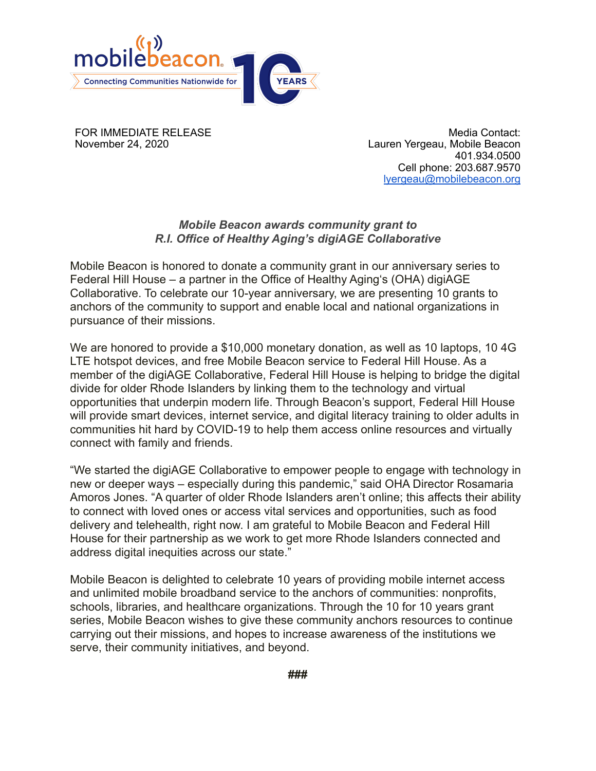

FOR IMMEDIATE RELEASE November 24, 2020

Media Contact: Lauren Yergeau, Mobile Beacon 401.934.0500 Cell phone: 203.687.9570 [lyergeau@mobilebeacon.org](mailto:lyergeau@mobilebeacon.org)

## *Mobile Beacon awards community grant to R.I. Office of Healthy Aging's digiAGE Collaborative*

Mobile Beacon is honored to donate a community grant in our anniversary series to Federal Hill House – a partner in the Office of Healthy Aging's (OHA) digiAGE Collaborative. To celebrate our 10-year anniversary, we are presenting 10 grants to anchors of the community to support and enable local and national organizations in pursuance of their missions.

We are honored to provide a \$10,000 monetary donation, as well as 10 laptops, 10 4G LTE hotspot devices, and free Mobile Beacon service to Federal Hill House. As a member of the digiAGE Collaborative, Federal Hill House is helping to bridge the digital divide for older Rhode Islanders by linking them to the technology and virtual opportunities that underpin modern life. Through Beacon's support, Federal Hill House will provide smart devices, internet service, and digital literacy training to older adults in communities hit hard by COVID-19 to help them access online resources and virtually connect with family and friends.

"We started the digiAGE Collaborative to empower people to engage with technology in new or deeper ways – especially during this pandemic," said OHA Director Rosamaria Amoros Jones. "A quarter of older Rhode Islanders aren't online; this affects their ability to connect with loved ones or access vital services and opportunities, such as food delivery and telehealth, right now. I am grateful to Mobile Beacon and Federal Hill House for their partnership as we work to get more Rhode Islanders connected and address digital inequities across our state."

Mobile Beacon is delighted to celebrate 10 years of providing mobile internet access and unlimited mobile broadband service to the anchors of communities: nonprofits, schools, libraries, and healthcare organizations. Through the 10 for 10 years grant series, Mobile Beacon wishes to give these community anchors resources to continue carrying out their missions, and hopes to increase awareness of the institutions we serve, their community initiatives, and beyond.